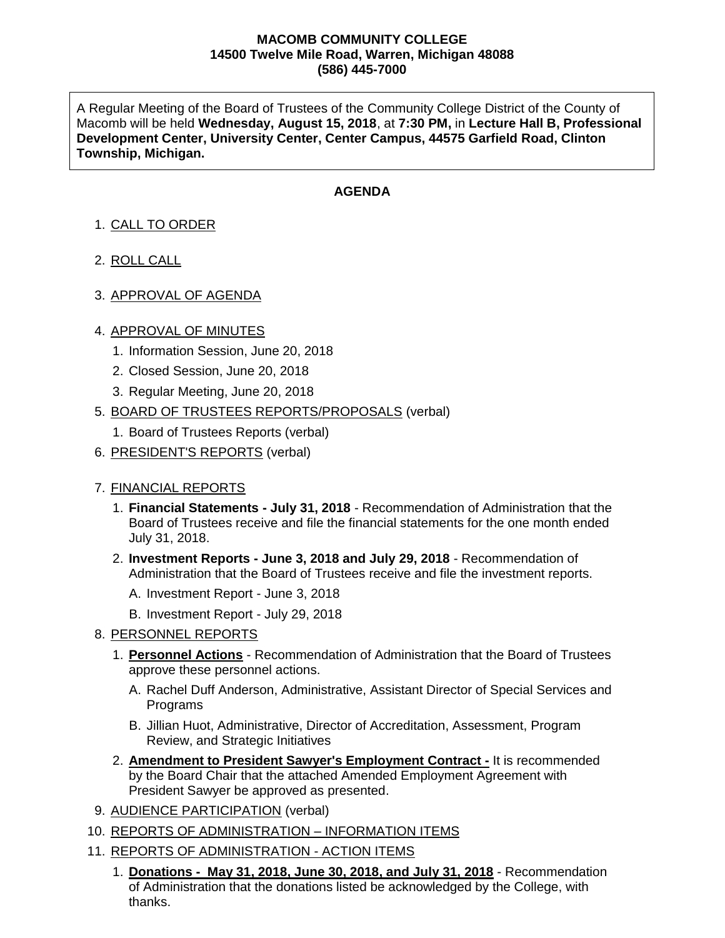### **MACOMB COMMUNITY COLLEGE 14500 Twelve Mile Road, Warren, Michigan 48088 (586) 445-7000**

A Regular Meeting of the Board of Trustees of the Community College District of the County of Macomb will be held **Wednesday, August 15, 2018**, at **7:30 PM,** in **Lecture Hall B, Professional Development Center, University Center, Center Campus, 44575 Garfield Road, Clinton Township, Michigan.**

# **AGENDA**

- 1. CALL TO ORDER
- 2. ROLL CALL
- 3. APPROVAL OF AGENDA

## 4. APPROVAL OF MINUTES

- 1. Information Session, June 20, 2018
- 2. Closed Session, June 20, 2018
- 3. Regular Meeting, June 20, 2018
- 5. BOARD OF TRUSTEES REPORTS/PROPOSALS (verbal)
	- 1. Board of Trustees Reports (verbal)
- 6. PRESIDENT'S REPORTS (verbal)

## 7. FINANCIAL REPORTS

- 1. **Financial Statements - July 31, 2018** Recommendation of Administration that the Board of Trustees receive and file the financial statements for the one month ended July 31, 2018.
- 2. **Investment Reports - June 3, 2018 and July 29, 2018** Recommendation of Administration that the Board of Trustees receive and file the investment reports.
	- A. Investment Report June 3, 2018
	- B. Investment Report July 29, 2018

## 8. PERSONNEL REPORTS

- 1. **Personnel Actions** Recommendation of Administration that the Board of Trustees approve these personnel actions.
	- A. Rachel Duff Anderson, Administrative, Assistant Director of Special Services and Programs
	- B. Jillian Huot, Administrative, Director of Accreditation, Assessment, Program Review, and Strategic Initiatives
- 2. **Amendment to President Sawyer's Employment Contract -** It is recommended by the Board Chair that the attached Amended Employment Agreement with President Sawyer be approved as presented.
- 9. AUDIENCE PARTICIPATION (verbal)
- 10. REPORTS OF ADMINISTRATION INFORMATION ITEMS
- 11. REPORTS OF ADMINISTRATION ACTION ITEMS
	- 1. **Donations - May 31, 2018, June 30, 2018, and July 31, 2018** Recommendation of Administration that the donations listed be acknowledged by the College, with thanks.